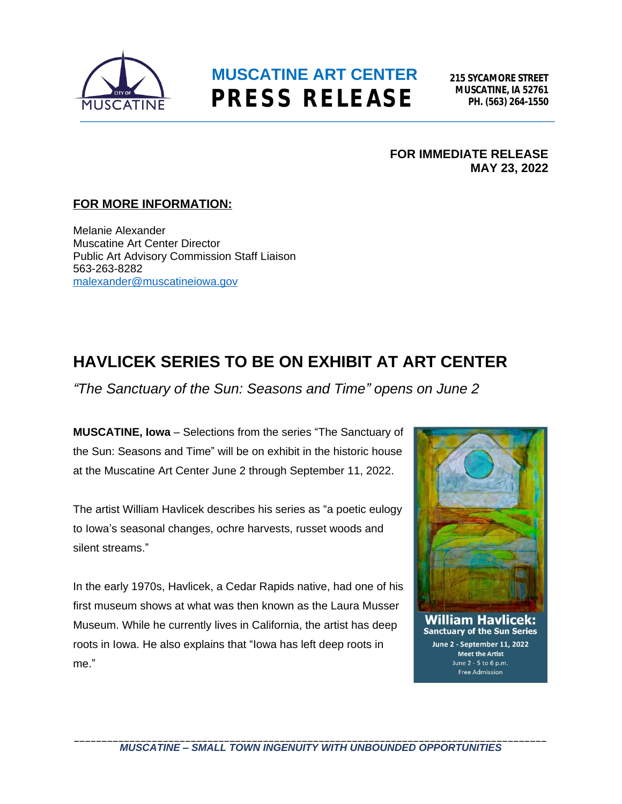

### **MUSCATINE ART CENTER PRESS RELEASE**

**215 SYCAMORE STREET MUSCATINE, IA 52761 PH. (563) 264-1550**

**FOR IMMEDIATE RELEASE MAY 23, 2022**

#### **FOR MORE INFORMATION:**

Melanie Alexander Muscatine Art Center Director Public Art Advisory Commission Staff Liaison 563-263-8282 [malexander@muscatineiowa.gov](mailto:malexander@muscatineiowa.gov)

### **HAVLICEK SERIES TO BE ON EXHIBIT AT ART CENTER**

*"The Sanctuary of the Sun: Seasons and Time" opens on June 2*

**MUSCATINE, Iowa** – Selections from the series "The Sanctuary of the Sun: Seasons and Time" will be on exhibit in the historic house at the Muscatine Art Center June 2 through September 11, 2022.

The artist William Havlicek describes his series as "a poetic eulogy to Iowa's seasonal changes, ochre harvests, russet woods and silent streams."

In the early 1970s, Havlicek, a Cedar Rapids native, had one of his first museum shows at what was then known as the Laura Musser Museum. While he currently lives in California, the artist has deep roots in Iowa. He also explains that "Iowa has left deep roots in me."



June 2 - September 11, 2022 **Meet the Artist** June  $2 - 5$  to 6 p.m. Free Admission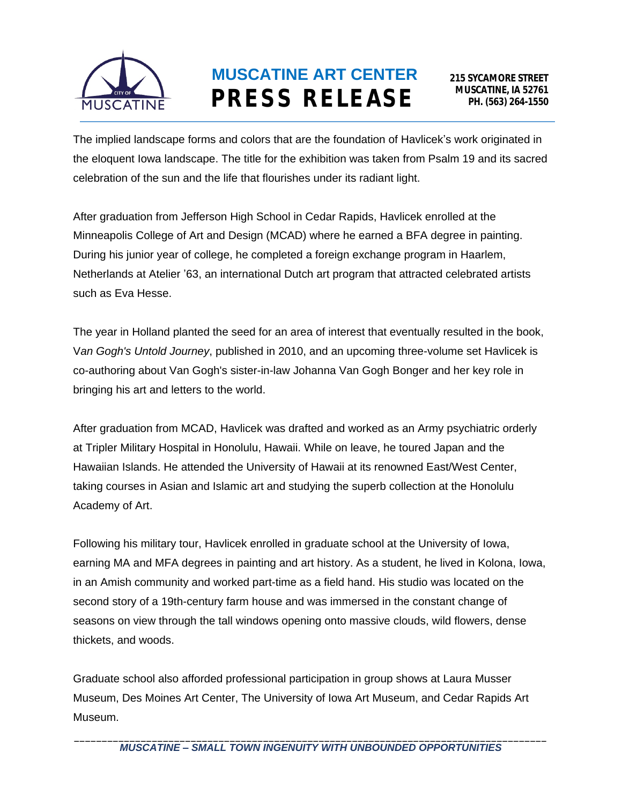

# **MUSCATINE ART CENTER PRESS RELEASE**

The implied landscape forms and colors that are the foundation of Havlicek's work originated in the eloquent Iowa landscape. The title for the exhibition was taken from Psalm 19 and its sacred celebration of the sun and the life that flourishes under its radiant light.

After graduation from Jefferson High School in Cedar Rapids, Havlicek enrolled at the Minneapolis College of Art and Design (MCAD) where he earned a BFA degree in painting. During his junior year of college, he completed a foreign exchange program in Haarlem, Netherlands at Atelier '63, an international Dutch art program that attracted celebrated artists such as Eva Hesse.

The year in Holland planted the seed for an area of interest that eventually resulted in the book, V*an Gogh's Untold Journey*, published in 2010, and an upcoming three-volume set Havlicek is co-authoring about Van Gogh's sister-in-law Johanna Van Gogh Bonger and her key role in bringing his art and letters to the world.

After graduation from MCAD, Havlicek was drafted and worked as an Army psychiatric orderly at Tripler Military Hospital in Honolulu, Hawaii. While on leave, he toured Japan and the Hawaiian Islands. He attended the University of Hawaii at its renowned East/West Center, taking courses in Asian and Islamic art and studying the superb collection at the Honolulu Academy of Art.

Following his military tour, Havlicek enrolled in graduate school at the University of Iowa, earning MA and MFA degrees in painting and art history. As a student, he lived in Kolona, Iowa, in an Amish community and worked part-time as a field hand. His studio was located on the second story of a 19th-century farm house and was immersed in the constant change of seasons on view through the tall windows opening onto massive clouds, wild flowers, dense thickets, and woods.

Graduate school also afforded professional participation in group shows at Laura Musser Museum, Des Moines Art Center, The University of Iowa Art Museum, and Cedar Rapids Art Museum.